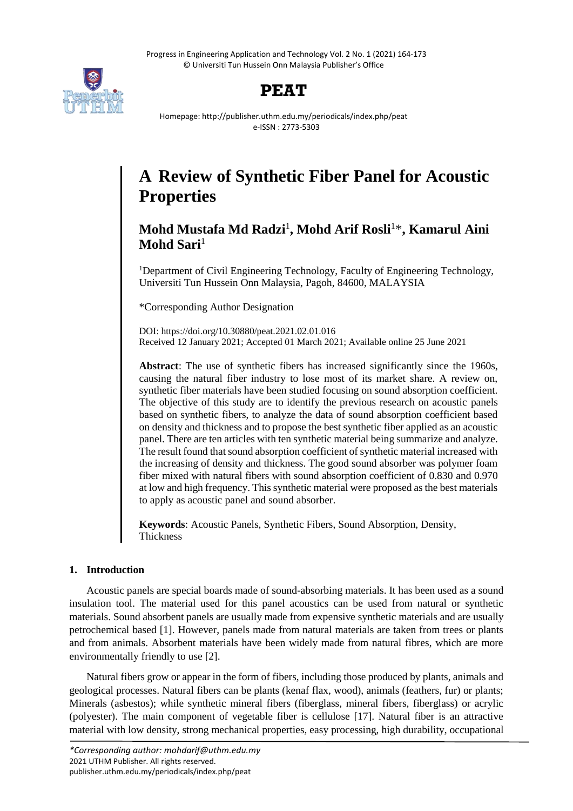Progress in Engineering Application and Technology Vol. 2 No. 1 (2021) 164-173 © Universiti Tun Hussein Onn Malaysia Publisher's Office





Homepage: http://publisher.uthm.edu.my/periodicals/index.php/peat e-ISSN : 2773-5303

# **A Review of Synthetic Fiber Panel for Acoustic Properties**

# **Mohd Mustafa Md Radzi**<sup>1</sup> **, Mohd Arif Rosli**<sup>1</sup>\***, Kamarul Aini Mohd Sari**<sup>1</sup>

<sup>1</sup>Department of Civil Engineering Technology, Faculty of Engineering Technology, Universiti Tun Hussein Onn Malaysia, Pagoh, 84600, MALAYSIA

\*Corresponding Author Designation

DOI: https://doi.org/10.30880/peat.2021.02.01.016 Received 12 January 2021; Accepted 01 March 2021; Available online 25 June 2021

**Abstract**: The use of synthetic fibers has increased significantly since the 1960s, causing the natural fiber industry to lose most of its market share. A review on, synthetic fiber materials have been studied focusing on sound absorption coefficient. The objective of this study are to identify the previous research on acoustic panels based on synthetic fibers, to analyze the data of sound absorption coefficient based on density and thickness and to propose the best synthetic fiber applied as an acoustic panel. There are ten articles with ten synthetic material being summarize and analyze. The result found that sound absorption coefficient of synthetic material increased with the increasing of density and thickness. The good sound absorber was polymer foam fiber mixed with natural fibers with sound absorption coefficient of 0.830 and 0.970 at low and high frequency. This synthetic material were proposed as the best materials to apply as acoustic panel and sound absorber.

**Keywords**: Acoustic Panels, Synthetic Fibers, Sound Absorption, Density, Thickness

## **1. Introduction**

Acoustic panels are special boards made of sound-absorbing materials. It has been used as a sound insulation tool. The material used for this panel acoustics can be used from natural or synthetic materials. Sound absorbent panels are usually made from expensive synthetic materials and are usually petrochemical based [1]. However, panels made from natural materials are taken from trees or plants and from animals. Absorbent materials have been widely made from natural fibres, which are more environmentally friendly to use [2].

Natural fibers grow or appear in the form of fibers, including those produced by plants, animals and geological processes. Natural fibers can be plants (kenaf flax, wood), animals (feathers, fur) or plants; Minerals (asbestos); while synthetic mineral fibers (fiberglass, mineral fibers, fiberglass) or acrylic (polyester). The main component of vegetable fiber is cellulose [17]. Natural fiber is an attractive material with low density, strong mechanical properties, easy processing, high durability, occupational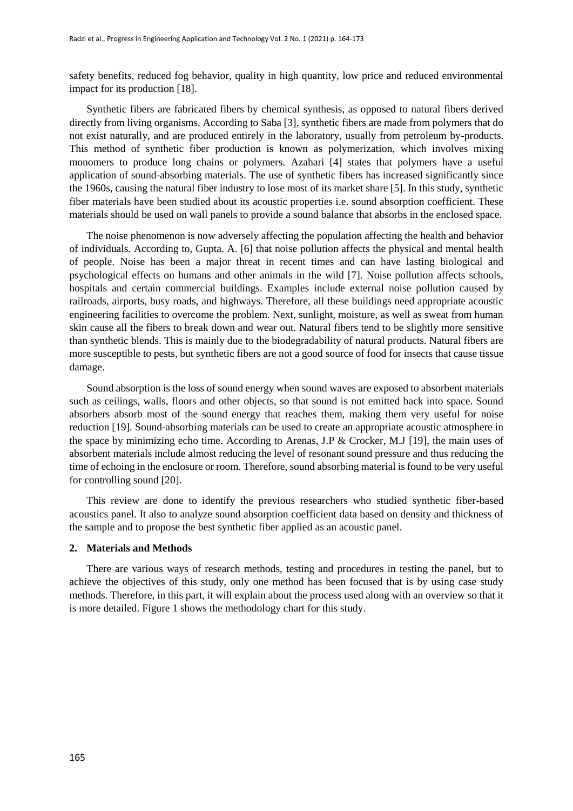safety benefits, reduced fog behavior, quality in high quantity, low price and reduced environmental impact for its production [18].

Synthetic fibers are fabricated fibers by chemical synthesis, as opposed to natural fibers derived directly from living organisms. According to Saba [3], synthetic fibers are made from polymers that do not exist naturally, and are produced entirely in the laboratory, usually from petroleum by-products. This method of synthetic fiber production is known as polymerization, which involves mixing monomers to produce long chains or polymers. Azahari [4] states that polymers have a useful application of sound-absorbing materials. The use of synthetic fibers has increased significantly since the 1960s, causing the natural fiber industry to lose most of its market share [5]. In this study, synthetic fiber materials have been studied about its acoustic properties i.e. sound absorption coefficient. These materials should be used on wall panels to provide a sound balance that absorbs in the enclosed space.

The noise phenomenon is now adversely affecting the population affecting the health and behavior of individuals. According to, Gupta. A. [6] that noise pollution affects the physical and mental health of people. Noise has been a major threat in recent times and can have lasting biological and psychological effects on humans and other animals in the wild [7]. Noise pollution affects schools, hospitals and certain commercial buildings. Examples include external noise pollution caused by railroads, airports, busy roads, and highways. Therefore, all these buildings need appropriate acoustic engineering facilities to overcome the problem. Next, sunlight, moisture, as well as sweat from human skin cause all the fibers to break down and wear out. Natural fibers tend to be slightly more sensitive than synthetic blends. This is mainly due to the biodegradability of natural products. Natural fibers are more susceptible to pests, but synthetic fibers are not a good source of food for insects that cause tissue damage.

Sound absorption is the loss of sound energy when sound waves are exposed to absorbent materials such as ceilings, walls, floors and other objects, so that sound is not emitted back into space. Sound absorbers absorb most of the sound energy that reaches them, making them very useful for noise reduction [19]. Sound-absorbing materials can be used to create an appropriate acoustic atmosphere in the space by minimizing echo time. According to Arenas, J.P & Crocker, M.J [19], the main uses of absorbent materials include almost reducing the level of resonant sound pressure and thus reducing the time of echoing in the enclosure or room. Therefore, sound absorbing material is found to be very useful for controlling sound [20].

This review are done to identify the previous researchers who studied synthetic fiber-based acoustics panel. It also to analyze sound absorption coefficient data based on density and thickness of the sample and to propose the best synthetic fiber applied as an acoustic panel.

#### **2. Materials and Methods**

There are various ways of research methods, testing and procedures in testing the panel, but to achieve the objectives of this study, only one method has been focused that is by using case study methods. Therefore, in this part, it will explain about the process used along with an overview so that it is more detailed. Figure 1 shows the methodology chart for this study.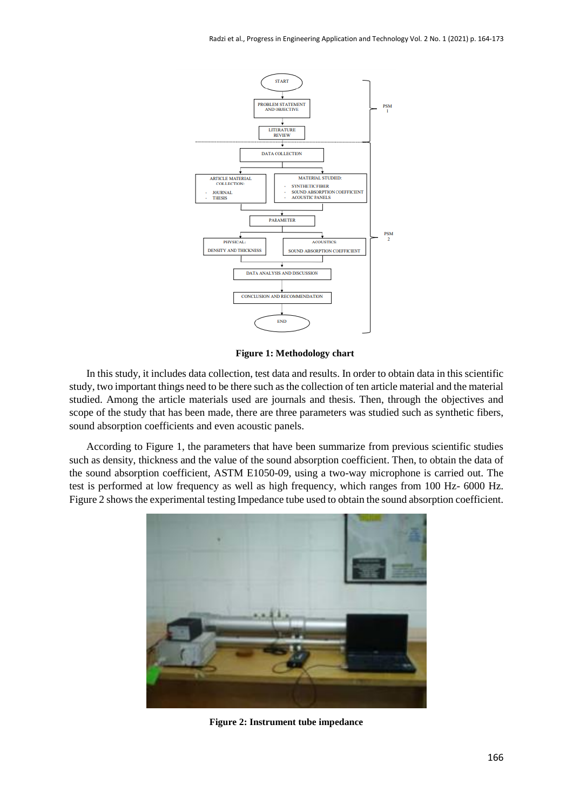

**Figure 1: Methodology chart**

In this study, it includes data collection, test data and results. In order to obtain data in this scientific study, two important things need to be there such as the collection of ten article material and the material studied. Among the article materials used are journals and thesis. Then, through the objectives and scope of the study that has been made, there are three parameters was studied such as synthetic fibers, sound absorption coefficients and even acoustic panels.

According to Figure 1, the parameters that have been summarize from previous scientific studies such as density, thickness and the value of the sound absorption coefficient. Then, to obtain the data of the sound absorption coefficient, ASTM E1050-09, using a two-way microphone is carried out. The test is performed at low frequency as well as high frequency, which ranges from 100 Hz- 6000 Hz. Figure 2 shows the experimental testing Impedance tube used to obtain the sound absorption coefficient.



**Figure 2: Instrument tube impedance**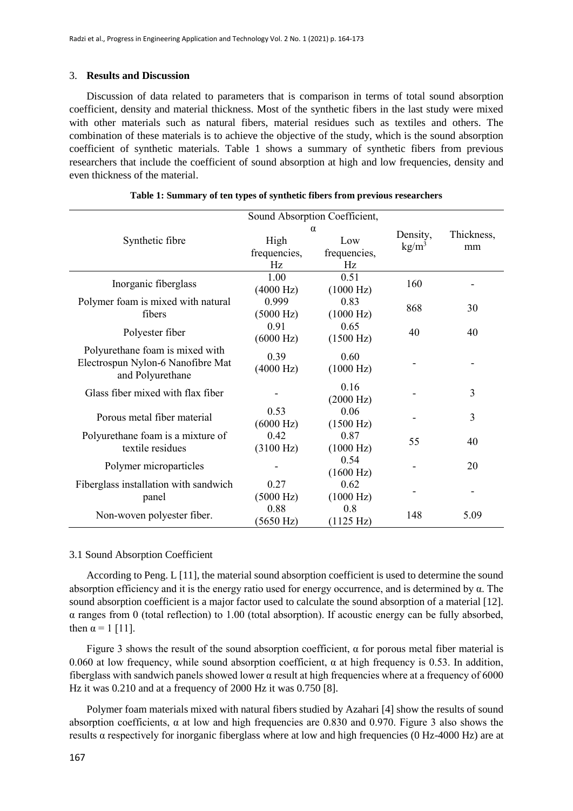#### 3. **Results and Discussion**

Discussion of data related to parameters that is comparison in terms of total sound absorption coefficient, density and material thickness. Most of the synthetic fibers in the last study were mixed with other materials such as natural fibers, material residues such as textiles and others. The combination of these materials is to achieve the objective of the study, which is the sound absorption coefficient of synthetic materials. Table 1 shows a summary of synthetic fibers from previous researchers that include the coefficient of sound absorption at high and low frequencies, density and even thickness of the material.

|                                       |                     | Sound Absorption Coefficient, |                             |                  |  |
|---------------------------------------|---------------------|-------------------------------|-----------------------------|------------------|--|
|                                       |                     | α                             | Density,<br>$\text{kg/m}^3$ | Thickness,<br>mm |  |
| Synthetic fibre                       | High                | Low                           |                             |                  |  |
|                                       | frequencies,        | frequencies,                  |                             |                  |  |
|                                       | Hz                  | Hz                            |                             |                  |  |
| Inorganic fiberglass                  | 1.00                | 0.51                          | 160                         |                  |  |
|                                       | $(4000 \text{ Hz})$ | (1000 Hz)                     |                             |                  |  |
| Polymer foam is mixed with natural    | 0.999               | 0.83                          |                             | 30               |  |
| fibers                                | $(5000 \text{ Hz})$ | (1000 Hz)                     | 868                         |                  |  |
|                                       | 0.91                | 0.65                          |                             | 40               |  |
| Polyester fiber                       | (6000 Hz)           | $(1500 \text{ Hz})$           | 40                          |                  |  |
| Polyurethane foam is mixed with       |                     |                               |                             |                  |  |
| Electrospun Nylon-6 Nanofibre Mat     | 0.39                | 0.60                          |                             |                  |  |
| and Polyurethane                      | $(4000 \text{ Hz})$ | (1000 Hz)                     |                             |                  |  |
|                                       |                     | 0.16                          |                             |                  |  |
| Glass fiber mixed with flax fiber     |                     | $(2000 \text{ Hz})$           |                             | 3                |  |
|                                       | 0.53                | 0.06                          |                             |                  |  |
| Porous metal fiber material           | $(6000 \text{ Hz})$ | (1500 Hz)                     |                             | 3                |  |
| Polyurethane foam is a mixture of     | 0.42                | 0.87                          |                             |                  |  |
| textile residues                      | $(3100 \text{ Hz})$ | (1000 Hz)                     | 55                          | 40               |  |
|                                       |                     | 0.54                          |                             | 20               |  |
| Polymer microparticles                |                     | (1600 Hz)                     |                             |                  |  |
| Fiberglass installation with sandwich | 0.27                | 0.62                          |                             |                  |  |
| panel                                 | $(5000 \text{ Hz})$ | (1000 Hz)                     |                             |                  |  |
|                                       | 0.88                | 0.8                           |                             | 5.09             |  |
| Non-woven polyester fiber.            | $(5650 \text{ Hz})$ | (1125 Hz)                     | 148                         |                  |  |

|  |  |  |  |  | Table 1: Summary of ten types of synthetic fibers from previous researchers |
|--|--|--|--|--|-----------------------------------------------------------------------------|
|  |  |  |  |  |                                                                             |

#### 3.1 Sound Absorption Coefficient

According to Peng. L [11], the material sound absorption coefficient is used to determine the sound absorption efficiency and it is the energy ratio used for energy occurrence, and is determined by α. The sound absorption coefficient is a major factor used to calculate the sound absorption of a material [12]. α ranges from 0 (total reflection) to 1.00 (total absorption). If acoustic energy can be fully absorbed, then  $\alpha = 1$  [11].

Figure 3 shows the result of the sound absorption coefficient,  $\alpha$  for porous metal fiber material is 0.060 at low frequency, while sound absorption coefficient,  $\alpha$  at high frequency is 0.53. In addition, fiberglass with sandwich panels showed lower α result at high frequencies where at a frequency of 6000 Hz it was 0.210 and at a frequency of 2000 Hz it was 0.750 [8].

Polymer foam materials mixed with natural fibers studied by Azahari [4] show the results of sound absorption coefficients,  $\alpha$  at low and high frequencies are 0.830 and 0.970. Figure 3 also shows the results α respectively for inorganic fiberglass where at low and high frequencies (0 Hz-4000 Hz) are at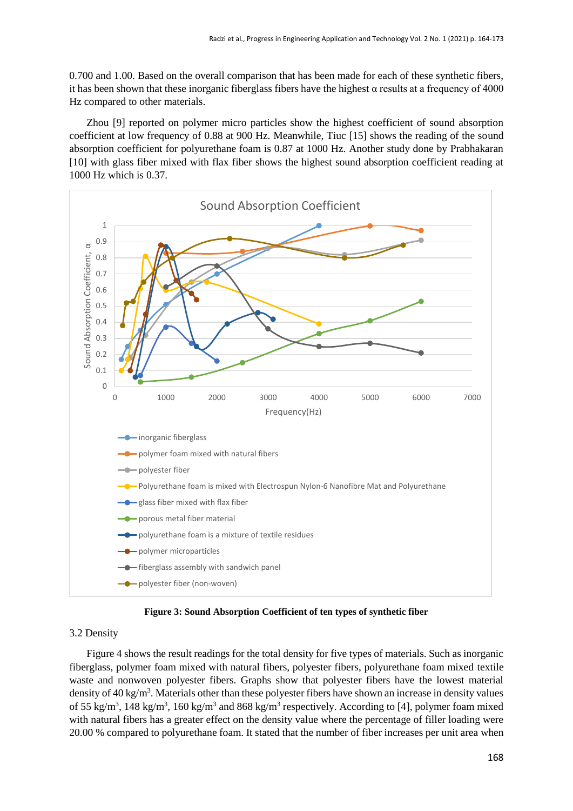0.700 and 1.00. Based on the overall comparison that has been made for each of these synthetic fibers, it has been shown that these inorganic fiberglass fibers have the highest  $\alpha$  results at a frequency of 4000 Hz compared to other materials.

Zhou [9] reported on polymer micro particles show the highest coefficient of sound absorption coefficient at low frequency of 0.88 at 900 Hz. Meanwhile, Tiuc [15] shows the reading of the sound absorption coefficient for polyurethane foam is 0.87 at 1000 Hz. Another study done by Prabhakaran [10] with glass fiber mixed with flax fiber shows the highest sound absorption coefficient reading at 1000 Hz which is 0.37.



**Figure 3: Sound Absorption Coefficient of ten types of synthetic fiber**

#### 3.2 Density

Figure 4 shows the result readings for the total density for five types of materials. Such as inorganic fiberglass, polymer foam mixed with natural fibers, polyester fibers, polyurethane foam mixed textile waste and nonwoven polyester fibers. Graphs show that polyester fibers have the lowest material density of  $40 \text{ kg/m}^3$ . Materials other than these polyester fibers have shown an increase in density values of 55 kg/m<sup>3</sup>, 148 kg/m<sup>3</sup>, 160 kg/m<sup>3</sup> and 868 kg/m<sup>3</sup> respectively. According to [4], polymer foam mixed with natural fibers has a greater effect on the density value where the percentage of filler loading were 20.00 % compared to polyurethane foam. It stated that the number of fiber increases per unit area when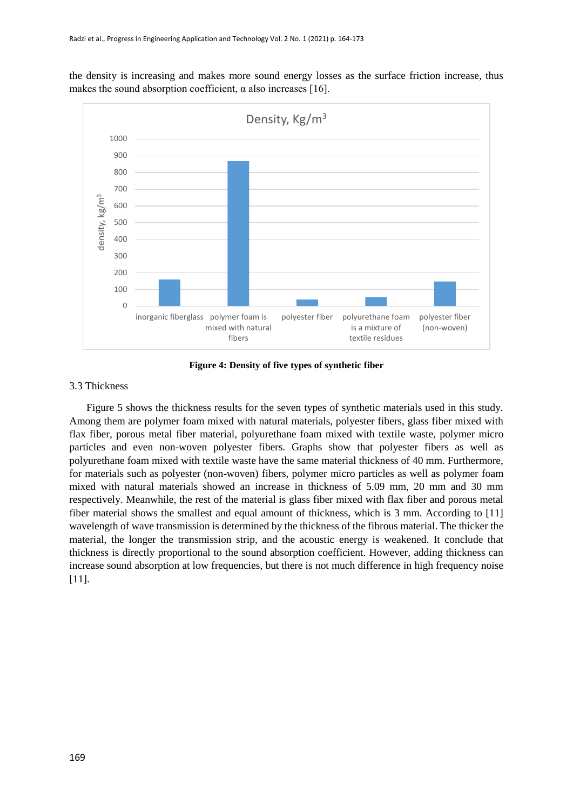the density is increasing and makes more sound energy losses as the surface friction increase, thus makes the sound absorption coefficient,  $\alpha$  also increases [16].



**Figure 4: Density of five types of synthetic fiber**

### 3.3 Thickness

Figure 5 shows the thickness results for the seven types of synthetic materials used in this study. Among them are polymer foam mixed with natural materials, polyester fibers, glass fiber mixed with flax fiber, porous metal fiber material, polyurethane foam mixed with textile waste, polymer micro particles and even non-woven polyester fibers. Graphs show that polyester fibers as well as polyurethane foam mixed with textile waste have the same material thickness of 40 mm. Furthermore, for materials such as polyester (non-woven) fibers, polymer micro particles as well as polymer foam mixed with natural materials showed an increase in thickness of 5.09 mm, 20 mm and 30 mm respectively. Meanwhile, the rest of the material is glass fiber mixed with flax fiber and porous metal fiber material shows the smallest and equal amount of thickness, which is 3 mm. According to [11] wavelength of wave transmission is determined by the thickness of the fibrous material. The thicker the material, the longer the transmission strip, and the acoustic energy is weakened. It conclude that thickness is directly proportional to the sound absorption coefficient. However, adding thickness can increase sound absorption at low frequencies, but there is not much difference in high frequency noise [11].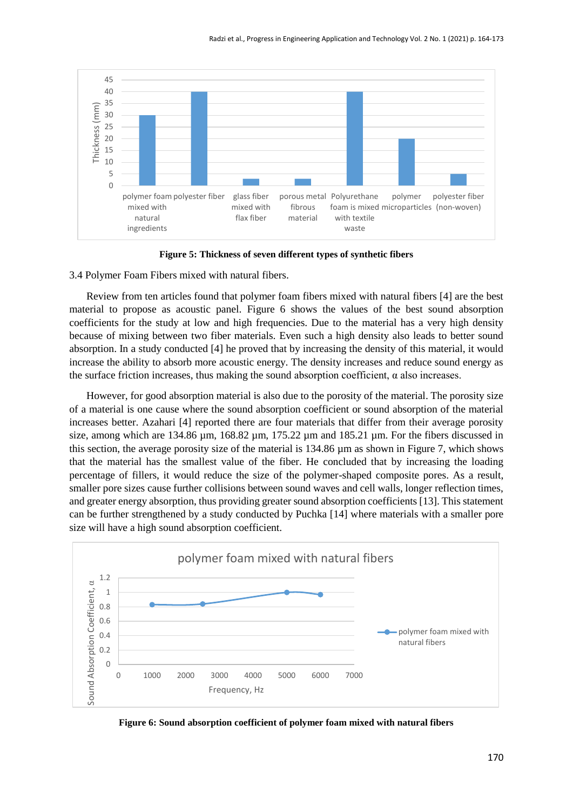

**Figure 5: Thickness of seven different types of synthetic fibers**

3.4 Polymer Foam Fibers mixed with natural fibers.

Review from ten articles found that polymer foam fibers mixed with natural fibers [4] are the best material to propose as acoustic panel. Figure 6 shows the values of the best sound absorption coefficients for the study at low and high frequencies. Due to the material has a very high density because of mixing between two fiber materials. Even such a high density also leads to better sound absorption. In a study conducted [4] he proved that by increasing the density of this material, it would increase the ability to absorb more acoustic energy. The density increases and reduce sound energy as the surface friction increases, thus making the sound absorption coefficient,  $\alpha$  also increases.

However, for good absorption material is also due to the porosity of the material. The porosity size of a material is one cause where the sound absorption coefficient or sound absorption of the material increases better. Azahari [4] reported there are four materials that differ from their average porosity size, among which are 134.86  $\mu$ m, 168.82  $\mu$ m, 175.22  $\mu$ m and 185.21  $\mu$ m. For the fibers discussed in this section, the average porosity size of the material is 134.86 µm as shown in Figure 7, which shows that the material has the smallest value of the fiber. He concluded that by increasing the loading percentage of fillers, it would reduce the size of the polymer-shaped composite pores. As a result, smaller pore sizes cause further collisions between sound waves and cell walls, longer reflection times, and greater energy absorption, thus providing greater sound absorption coefficients [13]. This statement can be further strengthened by a study conducted by Puchka [14] where materials with a smaller pore size will have a high sound absorption coefficient.



**Figure 6: Sound absorption coefficient of polymer foam mixed with natural fibers**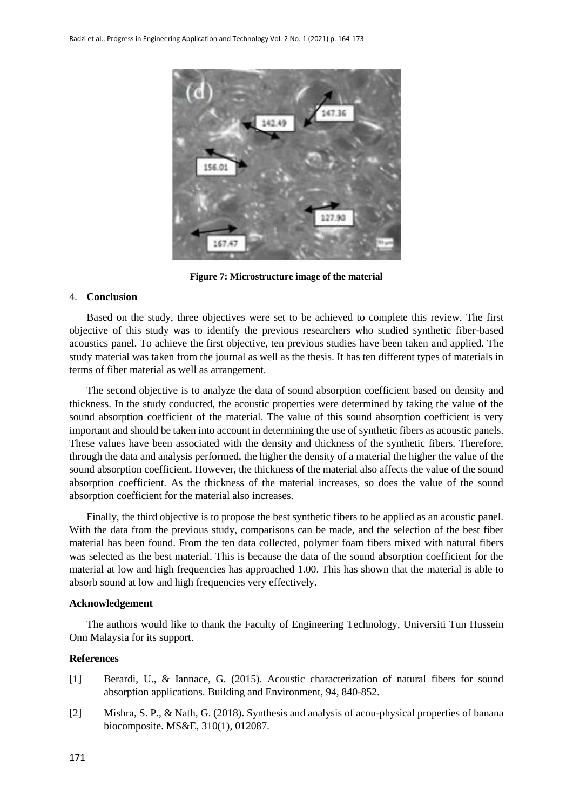

**Figure 7: Microstructure image of the material**

#### 4. **Conclusion**

Based on the study, three objectives were set to be achieved to complete this review. The first objective of this study was to identify the previous researchers who studied synthetic fiber-based acoustics panel. To achieve the first objective, ten previous studies have been taken and applied. The study material was taken from the journal as well as the thesis. It has ten different types of materials in terms of fiber material as well as arrangement.

The second objective is to analyze the data of sound absorption coefficient based on density and thickness. In the study conducted, the acoustic properties were determined by taking the value of the sound absorption coefficient of the material. The value of this sound absorption coefficient is very important and should be taken into account in determining the use of synthetic fibers as acoustic panels. These values have been associated with the density and thickness of the synthetic fibers. Therefore, through the data and analysis performed, the higher the density of a material the higher the value of the sound absorption coefficient. However, the thickness of the material also affects the value of the sound absorption coefficient. As the thickness of the material increases, so does the value of the sound absorption coefficient for the material also increases.

Finally, the third objective is to propose the best synthetic fibers to be applied as an acoustic panel. With the data from the previous study, comparisons can be made, and the selection of the best fiber material has been found. From the ten data collected, polymer foam fibers mixed with natural fibers was selected as the best material. This is because the data of the sound absorption coefficient for the material at low and high frequencies has approached 1.00. This has shown that the material is able to absorb sound at low and high frequencies very effectively.

#### **Acknowledgement**

The authors would like to thank the Faculty of Engineering Technology, Universiti Tun Hussein Onn Malaysia for its support.

#### **References**

- [1] Berardi, U., & Iannace, G. (2015). Acoustic characterization of natural fibers for sound absorption applications. Building and Environment, 94, 840-852.
- [2] Mishra, S. P., & Nath, G. (2018). Synthesis and analysis of acou-physical properties of banana biocomposite. MS&E, 310(1), 012087.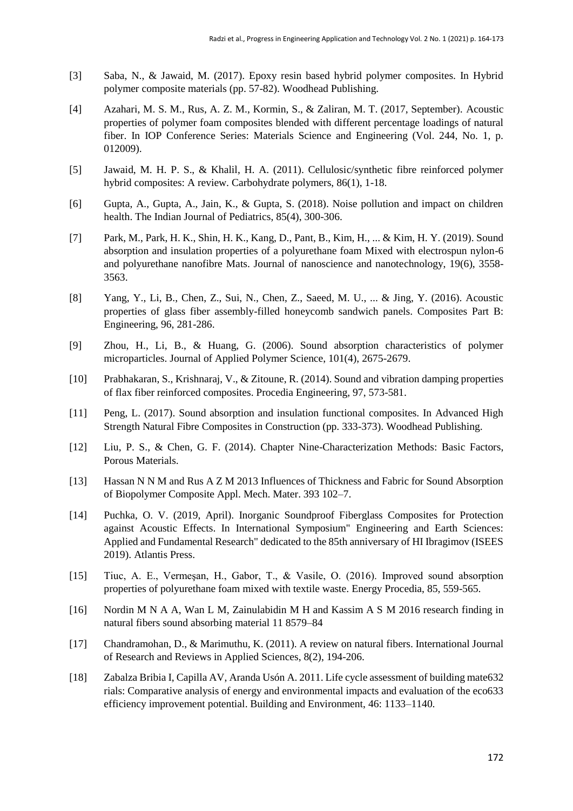- [3] Saba, N., & Jawaid, M. (2017). Epoxy resin based hybrid polymer composites. In Hybrid polymer composite materials (pp. 57-82). Woodhead Publishing.
- [4] Azahari, M. S. M., Rus, A. Z. M., Kormin, S., & Zaliran, M. T. (2017, September). Acoustic properties of polymer foam composites blended with different percentage loadings of natural fiber. In IOP Conference Series: Materials Science and Engineering (Vol. 244, No. 1, p. 012009).
- [5] Jawaid, M. H. P. S., & Khalil, H. A. (2011). Cellulosic/synthetic fibre reinforced polymer hybrid composites: A review. Carbohydrate polymers, 86(1), 1-18.
- [6] Gupta, A., Gupta, A., Jain, K., & Gupta, S. (2018). Noise pollution and impact on children health. The Indian Journal of Pediatrics, 85(4), 300-306.
- [7] Park, M., Park, H. K., Shin, H. K., Kang, D., Pant, B., Kim, H., ... & Kim, H. Y. (2019). Sound absorption and insulation properties of a polyurethane foam Mixed with electrospun nylon-6 and polyurethane nanofibre Mats. Journal of nanoscience and nanotechnology, 19(6), 3558- 3563.
- [8] Yang, Y., Li, B., Chen, Z., Sui, N., Chen, Z., Saeed, M. U., ... & Jing, Y. (2016). Acoustic properties of glass fiber assembly-filled honeycomb sandwich panels. Composites Part B: Engineering, 96, 281-286.
- [9] Zhou, H., Li, B., & Huang, G. (2006). Sound absorption characteristics of polymer microparticles. Journal of Applied Polymer Science, 101(4), 2675-2679.
- [10] Prabhakaran, S., Krishnaraj, V., & Zitoune, R. (2014). Sound and vibration damping properties of flax fiber reinforced composites. Procedia Engineering, 97, 573-581.
- [11] Peng, L. (2017). Sound absorption and insulation functional composites. In Advanced High Strength Natural Fibre Composites in Construction (pp. 333-373). Woodhead Publishing.
- [12] Liu, P. S., & Chen, G. F. (2014). Chapter Nine-Characterization Methods: Basic Factors, Porous Materials.
- [13] Hassan N N M and Rus A Z M 2013 Influences of Thickness and Fabric for Sound Absorption of Biopolymer Composite Appl. Mech. Mater. 393 102–7.
- [14] Puchka, O. V. (2019, April). Inorganic Soundproof Fiberglass Composites for Protection against Acoustic Effects. In International Symposium" Engineering and Earth Sciences: Applied and Fundamental Research" dedicated to the 85th anniversary of HI Ibragimov (ISEES 2019). Atlantis Press.
- [15] Tiuc, A. E., Vermeşan, H., Gabor, T., & Vasile, O. (2016). Improved sound absorption properties of polyurethane foam mixed with textile waste. Energy Procedia, 85, 559-565.
- [16] Nordin M N A A, Wan L M, Zainulabidin M H and Kassim A S M 2016 research finding in natural fibers sound absorbing material 11 8579–84
- [17] Chandramohan, D., & Marimuthu, K. (2011). A review on natural fibers. International Journal of Research and Reviews in Applied Sciences, 8(2), 194-206.
- [18] Zabalza Bribia I, Capilla AV, Aranda Usón A. 2011. Life cycle assessment of building mate632 rials: Comparative analysis of energy and environmental impacts and evaluation of the eco633 efficiency improvement potential. Building and Environment, 46: 1133–1140.